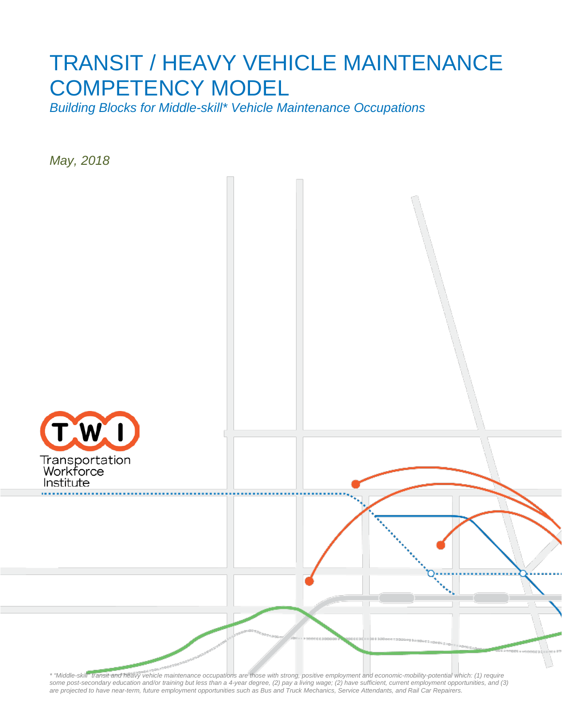# TRANSIT / HEAVY VEHICLE MAINTENANCE COMPETENCY MODEL

*Building Blocks for Middle-skill\* Vehicle Maintenance Occupations*

*May, 2018*



*\* "Middle-skill" transit and heavy vehicle maintenance occupations are those with strong, positive employment and economic-mobility-potential which: (1) require some post-secondary education and/or training but less than a 4-year degree, (2) pay a living wage; (2) have sufficient, current employment opportunities, and (3) are projected to have near-term, future employment opportunities such as Bus and Truck Mechanics, Service Attendants, and Rail Car Repairers.*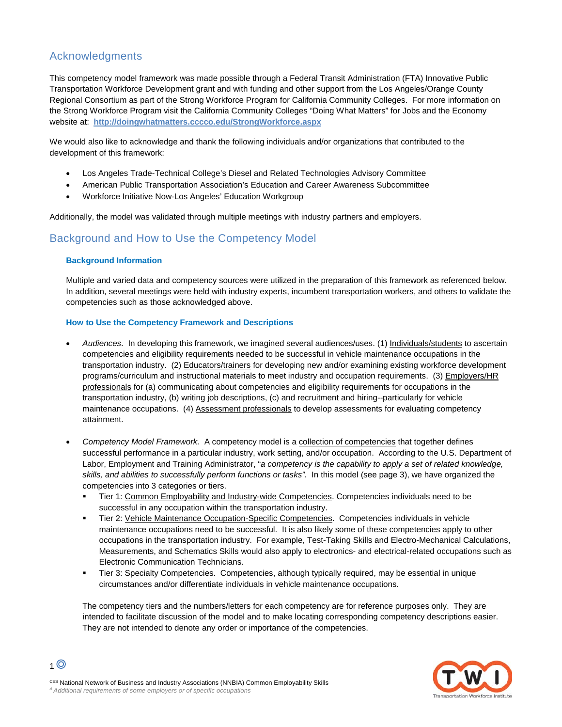# Acknowledgments

This competency model framework was made possible through a Federal Transit Administration (FTA) Innovative Public Transportation Workforce Development grant and with funding and other support from the Los Angeles/Orange County Regional Consortium as part of the Strong Workforce Program for California Community Colleges. For more information on the Strong Workforce Program visit the California Community Colleges "Doing What Matters" for Jobs and the Economy website at: **<http://doingwhatmatters.cccco.edu/StrongWorkforce.aspx>**

We would also like to acknowledge and thank the following individuals and/or organizations that contributed to the development of this framework:

- Los Angeles Trade-Technical College's Diesel and Related Technologies Advisory Committee
- American Public Transportation Association's Education and Career Awareness Subcommittee
- Workforce Initiative Now-Los Angeles' Education Workgroup

Additionally, the model was validated through multiple meetings with industry partners and employers.

# Background and How to Use the Competency Model

## **Background Information**

Multiple and varied data and competency sources were utilized in the preparation of this framework as referenced below. In addition, several meetings were held with industry experts, incumbent transportation workers, and others to validate the competencies such as those acknowledged above.

## **How to Use the Competency Framework and Descriptions**

- *Audiences*. In developing this framework, we imagined several audiences/uses. (1) Individuals/students to ascertain competencies and eligibility requirements needed to be successful in vehicle maintenance occupations in the transportation industry. (2) Educators/trainers for developing new and/or examining existing workforce development programs/curriculum and instructional materials to meet industry and occupation requirements. (3) Employers/HR professionals for (a) communicating about competencies and eligibility requirements for occupations in the transportation industry, (b) writing job descriptions, (c) and recruitment and hiring--particularly for vehicle maintenance occupations. (4) Assessment professionals to develop assessments for evaluating competency attainment.
- *Competency Model Framework.* A competency model is a collection of competencies that together defines successful performance in a particular industry, work setting, and/or occupation. According to the U.S. Department of Labor, Employment and Training Administrator, "*a competency is the capability to apply a set of related knowledge, skills, and abilities to successfully perform functions or tasks".* In this model (see page 3), we have organized the competencies into 3 categories or tiers.
	- Tier 1: Common Employability and Industry-wide Competencies. Competencies individuals need to be successful in any occupation within the transportation industry.
	- Tier 2: Vehicle Maintenance Occupation-Specific Competencies. Competencies individuals in vehicle maintenance occupations need to be successful. It is also likely some of these competencies apply to other occupations in the transportation industry. For example, Test-Taking Skills and Electro-Mechanical Calculations, Measurements, and Schematics Skills would also apply to electronics- and electrical-related occupations such as Electronic Communication Technicians.
	- Tier 3: Specialty Competencies. Competencies, although typically required, may be essential in unique circumstances and/or differentiate individuals in vehicle maintenance occupations.

The competency tiers and the numbers/letters for each competency are for reference purposes only. They are intended to facilitate discussion of the model and to make locating corresponding competency descriptions easier. They are not intended to denote any order or importance of the competencies.



 $1<sup>°</sup>$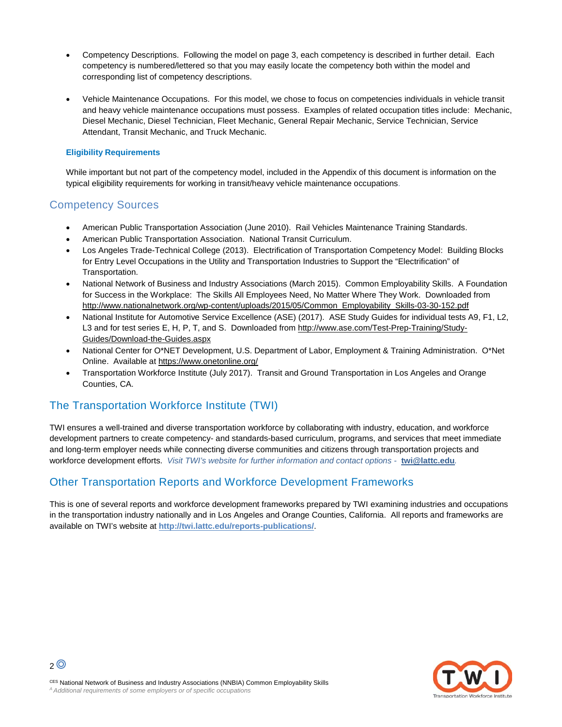- Competency Descriptions. Following the model on page 3, each competency is described in further detail. Each competency is numbered/lettered so that you may easily locate the competency both within the model and corresponding list of competency descriptions.
- Vehicle Maintenance Occupations. For this model, we chose to focus on competencies individuals in vehicle transit and heavy vehicle maintenance occupations must possess. Examples of related occupation titles include: Mechanic, Diesel Mechanic, Diesel Technician, Fleet Mechanic, General Repair Mechanic, Service Technician, Service Attendant, Transit Mechanic, and Truck Mechanic.

## **Eligibility Requirements**

While important but not part of the competency model, included in the Appendix of this document is information on the typical eligibility requirements for working in transit/heavy vehicle maintenance occupations.

## Competency Sources

- American Public Transportation Association (June 2010). Rail Vehicles Maintenance Training Standards.
- American Public Transportation Association. National Transit Curriculum.
- Los Angeles Trade-Technical College (2013). Electrification of Transportation Competency Model: Building Blocks for Entry Level Occupations in the Utility and Transportation Industries to Support the "Electrification" of Transportation.
- National Network of Business and Industry Associations (March 2015). Common Employability Skills. A Foundation for Success in the Workplace: The Skills All Employees Need, No Matter Where They Work. Downloaded from [http://www.nationalnetwork.org/wp-content/uploads/2015/05/Common\\_Employability\\_Skills-03-30-152.pdf](http://www.nationalnetwork.org/wp-content/uploads/2015/05/Common_Employability_Skills-03-30-152.pdf)
- National Institute for Automotive Service Excellence (ASE) (2017). ASE Study Guides for individual tests A9, F1, L2, L3 and for test series E, H, P, T, and S. Downloaded fro[m http://www.ase.com/Test-Prep-Training/Study-](http://www.ase.com/Test-Prep-Training/Study-Guides/Download-the-Guides.aspx)[Guides/Download-the-Guides.aspx](http://www.ase.com/Test-Prep-Training/Study-Guides/Download-the-Guides.aspx)
- National Center for O\*NET Development, U.S. Department of Labor, Employment & Training Administration. O\*Net Online. Available at <https://www.onetonline.org/>
- Transportation Workforce Institute (July 2017). Transit and Ground Transportation in Los Angeles and Orange Counties, CA.

## The Transportation Workforce Institute (TWI)

TWI ensures a well-trained and diverse transportation workforce by collaborating with industry, education, and workforce development partners to create competency- and standards-based curriculum, programs, and services that meet immediate and long-term employer needs while connecting diverse communities and citizens through transportation projects and workforce development efforts. *Visit TWI's website for further information and contact options -* **[twi@lattc.edu](mailto:twi@lattc.edu)***.*

## Other Transportation Reports and Workforce Development Frameworks

This is one of several reports and workforce development frameworks prepared by TWI examining industries and occupations in the transportation industry nationally and in Los Angeles and Orange Counties, California. All reports and frameworks are available on TWI's website at **<http://twi.lattc.edu/reports-publications/>**.



 $2<sup>0</sup>$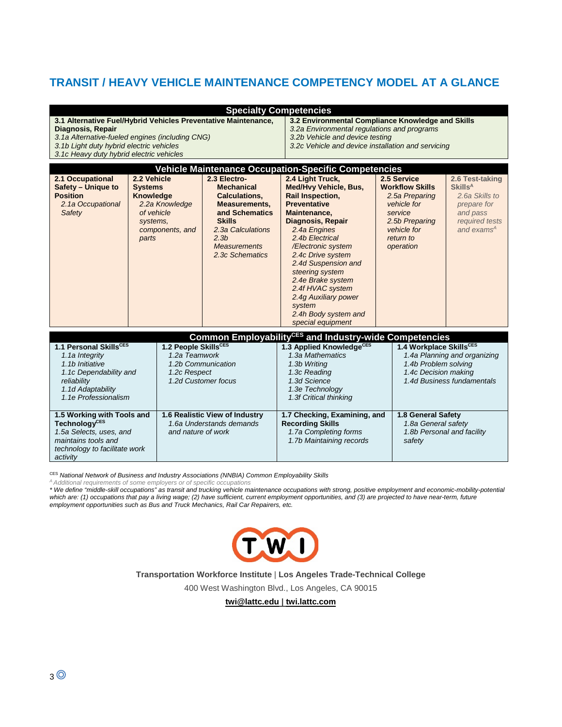# **TRANSIT / HEAVY VEHICLE MAINTENANCE COMPETENCY MODEL AT A GLANCE**

| 3.1 Alternative Fuel/Hybrid Vehicles Preventative Maintenance,<br><b>Diagnosis, Repair</b><br>3.1a Alternative-fueled engines (including CNG)<br>3.1b Light duty hybrid electric vehicles<br>3.1c Heavy duty hybrid electric vehicles |                                                                                                                    |                                                                                                    | <b>Specialty Competencies</b><br>3.2 Environmental Compliance Knowledge and Skills<br>3.2a Environmental regulations and programs<br>3.2b Vehicle and device testing<br>3.2c Vehicle and device installation and servicing |                                                                                                                                                                                                                                                                                                                                                                                         |                                                                                                                                                                           |                                                                                                                                       |                                                                                                 |  |  |  |  |  |
|---------------------------------------------------------------------------------------------------------------------------------------------------------------------------------------------------------------------------------------|--------------------------------------------------------------------------------------------------------------------|----------------------------------------------------------------------------------------------------|----------------------------------------------------------------------------------------------------------------------------------------------------------------------------------------------------------------------------|-----------------------------------------------------------------------------------------------------------------------------------------------------------------------------------------------------------------------------------------------------------------------------------------------------------------------------------------------------------------------------------------|---------------------------------------------------------------------------------------------------------------------------------------------------------------------------|---------------------------------------------------------------------------------------------------------------------------------------|-------------------------------------------------------------------------------------------------|--|--|--|--|--|
| <b>Vehicle Maintenance Occupation-Specific Competencies</b>                                                                                                                                                                           |                                                                                                                    |                                                                                                    |                                                                                                                                                                                                                            |                                                                                                                                                                                                                                                                                                                                                                                         |                                                                                                                                                                           |                                                                                                                                       |                                                                                                 |  |  |  |  |  |
| 2.1 Occupational<br>Safety - Unique to<br><b>Position</b><br>2.1a Occupational<br>Safety                                                                                                                                              | 2.2 Vehicle<br><b>Systems</b><br>Knowledge<br>2.2a Knowledge<br>of vehicle<br>systems.<br>components, and<br>parts |                                                                                                    | 2.3 Electro-<br><b>Mechanical</b><br><b>Calculations,</b><br><b>Measurements,</b><br>and Schematics<br><b>Skills</b><br>2.3a Calculations<br>2.3 <sub>b</sub><br><b>Measurements</b><br>2.3c Schematics                    | 2.4 Light Truck,<br><b>Med/Hvy Vehicle, Bus,</b><br>Rail Inspection,<br><b>Preventative</b><br>Maintenance.<br><b>Diagnosis, Repair</b><br>2.4a Engines<br>2.4b Electrical<br>/Electronic system<br>2.4c Drive system<br>2.4d Suspension and<br>steering system<br>2.4e Brake system<br>2.4f HVAC system<br>2.4g Auxiliary power<br>system<br>2.4h Body system and<br>special equipment | 2.5 Service<br><b>Skills<sup>A</sup></b><br><b>Workflow Skills</b><br>2.5a Preparing<br>vehicle for<br>service<br>2.5b Preparing<br>vehicle for<br>return to<br>operation |                                                                                                                                       | 2.6 Test-taking<br>2.6a Skills to<br>prepare for<br>and pass<br>required tests<br>and exams $A$ |  |  |  |  |  |
|                                                                                                                                                                                                                                       |                                                                                                                    |                                                                                                    |                                                                                                                                                                                                                            | Common Employability <sup>CES</sup> and Industry-wide Competencies                                                                                                                                                                                                                                                                                                                      |                                                                                                                                                                           |                                                                                                                                       |                                                                                                 |  |  |  |  |  |
| 1.1 Personal SkillsCES<br>1.1a Integrity<br>1.1b Initiative<br>1.1c Dependability and<br>reliability<br>1.1d Adaptability<br>1.1e Professionalism                                                                                     |                                                                                                                    | 1.2 People SkillsCES<br>1.2a Teamwork<br>1.2b Communication<br>1.2c Respect<br>1.2d Customer focus |                                                                                                                                                                                                                            | 1.3 Applied KnowledgeCES<br>1.3a Mathematics<br>1.3b Writing<br>1.3c Reading<br>1.3d Science<br>1.3e Technology<br>1.3f Critical thinking                                                                                                                                                                                                                                               |                                                                                                                                                                           | 1.4 Workplace SkillsCES<br>1.4a Planning and organizing<br>1.4b Problem solving<br>1.4c Decision making<br>1.4d Business fundamentals |                                                                                                 |  |  |  |  |  |
| 1.5 Working with Tools and<br><b>TechnologyCES</b><br>1.5a Selects, uses, and<br>maintains tools and<br>technology to facilitate work<br>activity                                                                                     |                                                                                                                    | 1.6 Realistic View of Industry<br>1.6a Understands demands<br>and nature of work                   |                                                                                                                                                                                                                            | 1.7 Checking, Examining, and<br><b>Recording Skills</b><br>1.7a Completing forms<br>1.7b Maintaining records                                                                                                                                                                                                                                                                            |                                                                                                                                                                           | 1.8 General Safety<br>1.8a General safety<br>1.8b Personal and facility<br>safety                                                     |                                                                                                 |  |  |  |  |  |

CES *National Network of Business and Industry Associations (NNBIA) Common Employability Skills*

*A Additional requirements of some employers or of specific occupations*

*\* We define "middle-skill occupations" as transit and trucking vehicle maintenance occupations with strong, positive employment and economic-mobility-potential which are: (1) occupations that pay a living wage; (2) have sufficient, current employment opportunities, and (3) are projected to have near-term, future employment opportunities such as Bus and Truck Mechanics, Rail Car Repairers, etc.*



**Transportation Workforce Institute** | **Los Angeles Trade-Technical College**

400 West Washington Blvd., Los Angeles, CA 90015

**[twi@lattc.edu](mailto:twi@lattc.edu) | twi.lattc.com**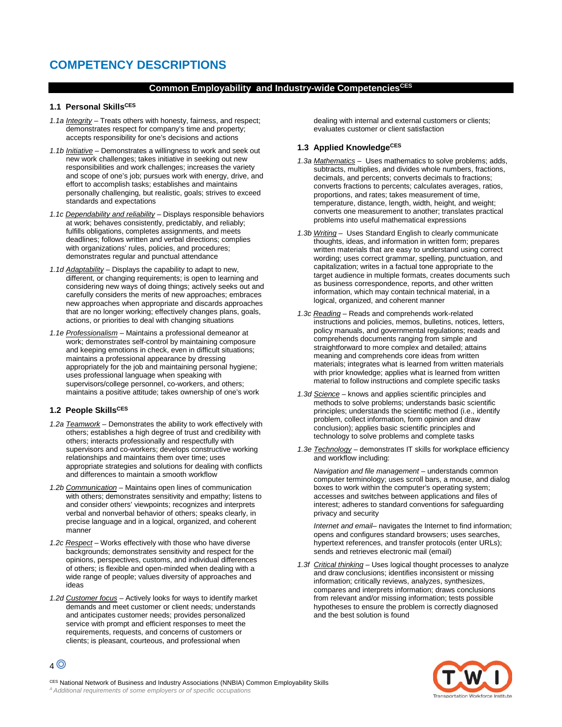# **COMPETENCY DESCRIPTIONS**

## **Common Employability and Industry-wide CompetenciesCES**

## **1.1 Personal SkillsCES**

- *1.1a Integrity –* Treats others with honesty, fairness, and respect; demonstrates respect for company's time and property; accepts responsibility for one's decisions and actions
- *1.1b Initiative –* Demonstrates a willingness to work and seek out new work challenges; takes initiative in seeking out new responsibilities and work challenges; increases the variety and scope of one's job; pursues work with energy, drive, and effort to accomplish tasks; establishes and maintains personally challenging, but realistic, goals; strives to exceed standards and expectations
- *1.1c Dependability and reliability –* Displays responsible behaviors at work; behaves consistently, predictably, and reliably; fulfills obligations, completes assignments, and meets deadlines; follows written and verbal directions; complies with organizations' rules, policies, and procedures; demonstrates regular and punctual attendance
- *1.1d Adaptability –* Displays the capability to adapt to new, different, or changing requirements; is open to learning and considering new ways of doing things; actively seeks out and carefully considers the merits of new approaches; embraces new approaches when appropriate and discards approaches that are no longer working; effectively changes plans, goals, actions, or priorities to deal with changing situations
- *1.1e Professionalism –* Maintains a professional demeanor at work; demonstrates self-control by maintaining composure and keeping emotions in check, even in difficult situations; maintains a professional appearance by dressing appropriately for the job and maintaining personal hygiene; uses professional language when speaking with supervisors/college personnel, co-workers, and others; maintains a positive attitude; takes ownership of one's work

## **1.2 People SkillsCES**

- *1.2a Teamwork –* Demonstrates the ability to work effectively with others; establishes a high degree of trust and credibility with others; interacts professionally and respectfully with supervisors and co-workers; develops constructive working relationships and maintains them over time; uses appropriate strategies and solutions for dealing with conflicts and differences to maintain a smooth workflow
- *1.2b Communication –* Maintains open lines of communication with others; demonstrates sensitivity and empathy; listens to and consider others' viewpoints; recognizes and interprets verbal and nonverbal behavior of others; speaks clearly, in precise language and in a logical, organized, and coherent manner
- *1.2c Respect –* Works effectively with those who have diverse backgrounds; demonstrates sensitivity and respect for the opinions, perspectives, customs, and individual differences of others; is flexible and open-minded when dealing with a wide range of people; values diversity of approaches and ideas
- *1.2d Customer focus –* Actively looks for ways to identify market demands and meet customer or client needs; understands and anticipates customer needs; provides personalized service with prompt and efficient responses to meet the requirements, requests, and concerns of customers or clients; is pleasant, courteous, and professional when

dealing with internal and external customers or clients; evaluates customer or client satisfaction

## **1.3 Applied KnowledgeCES**

- *1.3a Mathematics* Uses mathematics to solve problems; adds, subtracts, multiplies, and divides whole numbers, fractions, decimals, and percents; converts decimals to fractions; converts fractions to percents; calculates averages, ratios, proportions, and rates; takes measurement of time, temperature, distance, length, width, height, and weight; converts one measurement to another; translates practical problems into useful mathematical expressions
- *1.3b Writing* Uses Standard English to clearly communicate thoughts, ideas, and information in written form; prepares written materials that are easy to understand using correct wording; uses correct grammar, spelling, punctuation, and capitalization; writes in a factual tone appropriate to the target audience in multiple formats, creates documents such as business correspondence, reports, and other written information, which may contain technical material, in a logical, organized, and coherent manner
- *1.3c Reading* Reads and comprehends work-related instructions and policies, memos, bulletins, notices, letters, policy manuals, and governmental regulations; reads and comprehends documents ranging from simple and straightforward to more complex and detailed; attains meaning and comprehends core ideas from written materials; integrates what is learned from written materials with prior knowledge; applies what is learned from written material to follow instructions and complete specific tasks
- *1.3d Science –* knows and applies scientific principles and methods to solve problems; understands basic scientific principles; understands the scientific method (i.e., identify problem, collect information, form opinion and draw conclusion); applies basic scientific principles and technology to solve problems and complete tasks
- *1.3e Technology* demonstrates IT skills for workplace efficiency and workflow including:

*Navigation and file management –* understands common computer terminology; uses scroll bars, a mouse, and dialog boxes to work within the computer's operating system; accesses and switches between applications and files of interest; adheres to standard conventions for safeguarding privacy and security

*Internet and email–* navigates the Internet to find information; opens and configures standard browsers; uses searches, hypertext references, and transfer protocols (enter URLs); sends and retrieves electronic mail (email)

*1.3f Critical thinking –* Uses logical thought processes to analyze and draw conclusions; identifies inconsistent or missing information; critically reviews, analyzes, synthesizes, compares and interprets information; draws conclusions from relevant and/or missing information; tests possible hypotheses to ensure the problem is correctly diagnosed and the best solution is found



CES National Network of Business and Industry Associations (NNBIA) Common Employability Skills *A Additional requirements of some employers or of specific occupations*

4<sup>O</sup>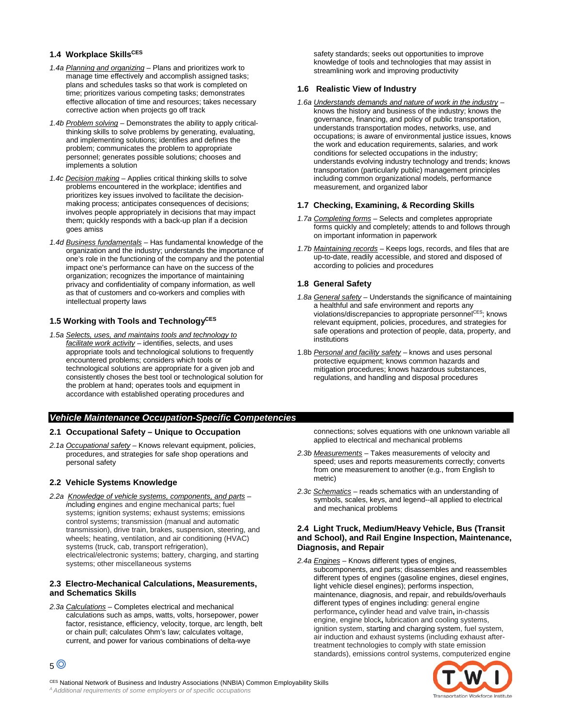## **1.4 Workplace SkillsCES**

- *1.4a Planning and organizing –* Plans and prioritizes work to manage time effectively and accomplish assigned tasks; plans and schedules tasks so that work is completed on time; prioritizes various competing tasks; demonstrates effective allocation of time and resources; takes necessary corrective action when projects go off track
- *1.4b Problem solving –* Demonstrates the ability to apply criticalthinking skills to solve problems by generating, evaluating, and implementing solutions; identifies and defines the problem; communicates the problem to appropriate personnel; generates possible solutions; chooses and implements a solution
- *1.4c Decision making –* Applies critical thinking skills to solve problems encountered in the workplace; identifies and prioritizes key issues involved to facilitate the decisionmaking process; anticipates consequences of decisions; involves people appropriately in decisions that may impact them; quickly responds with a back-up plan if a decision goes amiss
- *1.4d Business fundamentals –* Has fundamental knowledge of the organization and the industry; understands the importance of one's role in the functioning of the company and the potential impact one's performance can have on the success of the organization; recognizes the importance of maintaining privacy and confidentiality of company information, as well as that of customers and co-workers and complies with intellectual property laws

#### 1.5 Working with Tools and Technology<sup>CES</sup>

*1.5a Selects, uses, and maintains tools and technology to facilitate work activity –* identifies, selects, and uses appropriate tools and technological solutions to frequently encountered problems; considers which tools or technological solutions are appropriate for a given job and consistently choses the best tool or technological solution for the problem at hand; operates tools and equipment in accordance with established operating procedures and

#### safety standards; seeks out opportunities to improve knowledge of tools and technologies that may assist in streamlining work and improving productivity

## **1.6 Realistic View of Industry**

*1.6a Understands demands and nature of work in the industry –* knows the history and business of the industry; knows the governance, financing, and policy of public transportation, understands transportation modes, networks, use, and occupations; is aware of environmental justice issues, knows the work and education requirements, salaries, and work conditions for selected occupations in the industry; understands evolving industry technology and trends; knows transportation (particularly public) management principles including common organizational models, performance measurement, and organized labor

## **1.7 Checking, Examining, & Recording Skills**

- *1.7a Completing forms –* Selects and completes appropriate forms quickly and completely; attends to and follows through on important information in paperwork
- *1.7b Maintaining records –* Keeps logs, records, and files that are up-to-date, readily accessible, and stored and disposed of according to policies and procedures

## **1.8 General Safety**

- *1.8a General safety –* Understands the significance of maintaining a healthful and safe environment and reports any violations/discrepancies to appropriate personnelCES; knows relevant equipment, policies, procedures, and strategies for safe operations and protection of people, data, property, and institutions
- 1.8b *Personal and facility safety –* knows and uses personal protective equipment; knows common hazards and mitigation procedures; knows hazardous substances, regulations, and handling and disposal procedures

## *Vehicle Maintenance Occupation-Specific Competencies*

## **2.1 Occupational Safety – Unique to Occupation**

*2.1a Occupational safety –* Knows relevant equipment, policies, procedures, and strategies for safe shop operations and personal safety

## **2.2 Vehicle Systems Knowledge**

*2.2a Knowledge of vehicle systems, components, and parts – i*ncluding *e*ngines and engine mechanical parts; fuel systems; ignition systems; exhaust systems; emissions control systems; transmission (manual and automatic transmission), drive train, brakes, suspension, steering, and wheels; heating, ventilation, and air conditioning (HVAC) systems (truck, cab, transport refrigeration), electrical/electronic systems; battery, charging, and starting systems; other miscellaneous systems

## **2.3 Electro-Mechanical Calculations, Measurements, and Schematics Skills**

*2.3a Calculations* – Completes electrical and mechanical calculations such as amps, watts, volts, horsepower, power factor, resistance, efficiency, velocity, torque, arc length, belt or chain pull; calculates Ohm's law; calculates voltage, current, and power for various combinations of delta-wye

connections; solves equations with one unknown variable all applied to electrical and mechanical problems

- *2.3b Measurements* Takes measurements of velocity and speed; uses and reports measurements correctly; converts from one measurement to another (e.g., from English to metric)
- *2.3c Schematics* reads schematics with an understanding of symbols, scales, keys, and legend--all applied to electrical and mechanical problems

## **2.4 Light Truck, Medium/Heavy Vehicle, Bus (Transit and School), and Rail Engine Inspection, Maintenance, Diagnosis, and Repair**

*2.4a Engines* – Knows different types of engines, subcomponents, and parts; disassembles and reassembles different types of engines (gasoline engines, diesel engines, light vehicle diesel engines); performs inspection, maintenance, diagnosis, and repair, and rebuilds/overhauls different types of engines including: general engine performance**,** cylinder head and valve train**,** in-chassis engine, engine block**,** lubrication and cooling systems, ignition system, starting and charging system, fuel system, air induction and exhaust systems (including exhaust aftertreatment technologies to comply with state emission standards), emissions control systems, computerized engine



5

CES National Network of Business and Industry Associations (NNBIA) Common Employability Skills *A Additional requirements of some employers or of specific occupations*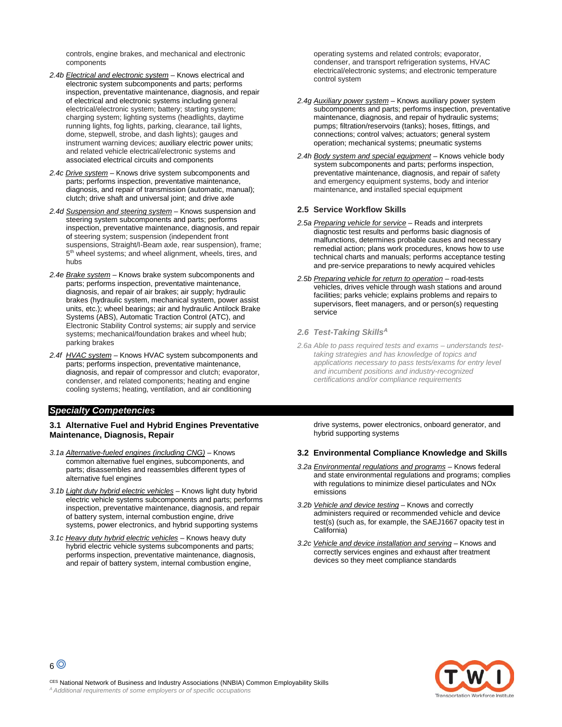controls, engine brakes, and mechanical and electronic components

- *2.4b Electrical and electronic system* Knows electrical and electronic system subcomponents and parts; performs inspection, preventative maintenance, diagnosis, and repair of electrical and electronic systems including general electrical/electronic system; battery; starting system; charging system; lighting systems (headlights, daytime running lights, fog lights, parking, clearance, tail lights, dome, stepwell, strobe, and dash lights); gauges and instrument warning devices; auxiliary electric power units; and related vehicle electrical/electronic systems and associated electrical circuits and components
- *2.4c Drive system* Knows drive system subcomponents and parts; performs inspection, preventative maintenance, diagnosis, and repair of transmission (automatic, manual); clutch; drive shaft and universal joint; and drive axle
- *2.4d Suspension and steering system* Knows suspension and steering system subcomponents and parts; performs inspection, preventative maintenance, diagnosis, and repair of steering system; suspension (independent front suspensions, Straight/I-Beam axle, rear suspension), frame; 5<sup>th</sup> wheel systems; and wheel alignment, wheels, tires, and hubs
- *2.4e Brake system* Knows brake system subcomponents and parts; performs inspection, preventative maintenance, diagnosis, and repair of air brakes; air supply; hydraulic brakes (hydraulic system, mechanical system, power assist units, etc.); wheel bearings; air and hydraulic Antilock Brake Systems (ABS), Automatic Traction Control (ATC), and Electronic Stability Control systems; air supply and service systems; mechanical/foundation brakes and wheel hub; parking brakes
- *2.4f HVAC system* Knows HVAC system subcomponents and parts; performs inspection, preventative maintenance, diagnosis, and repair of compressor and clutch; evaporator, condenser, and related components; heating and engine cooling systems; heating, ventilation, and air conditioning

### *Specialty Competencies*

#### **3.1 Alternative Fuel and Hybrid Engines Preventative Maintenance, Diagnosis, Repair**

- *3.1a Alternative-fueled engines (including CNG)* Knows common alternative fuel engines, subcomponents, and parts; disassembles and reassembles different types of alternative fuel engines
- *3.1b Light duty hybrid electric vehicles* Knows light duty hybrid electric vehicle systems subcomponents and parts; performs inspection, preventative maintenance, diagnosis, and repair of battery system, internal combustion engine, drive systems, power electronics, and hybrid supporting systems
- *3.1c Heavy duty hybrid electric vehicles* Knows heavy duty hybrid electric vehicle systems subcomponents and parts; performs inspection, preventative maintenance, diagnosis, and repair of battery system, internal combustion engine,

operating systems and related controls; evaporator, condenser, and transport refrigeration systems, HVAC electrical/electronic systems; and electronic temperature control system

- *2.4g Auxiliary power system* Knows auxiliary power system subcomponents and parts; performs inspection, preventative maintenance, diagnosis, and repair of hydraulic systems; pumps; filtration/reservoirs (tanks); hoses, fittings, and connections; control valves; actuators; general system operation; mechanical systems; pneumatic systems
- *2.4h Body system and special equipment* Knows vehicle body system subcomponents and parts; performs inspection, preventative maintenance, diagnosis, and repair of safety and emergency equipment systems, body and interior maintenance, and installed special equipment

#### **2.5 Service Workflow Skills**

- *2.5a Preparing vehicle for service* Reads and interprets diagnostic test results and performs basic diagnosis of malfunctions, determines probable causes and necessary remedial action; plans work procedures, knows how to use technical charts and manuals; performs acceptance testing and pre-service preparations to newly acquired vehicles
- *2.5b Preparing vehicle for return to operation* road-tests vehicles, drives vehicle through wash stations and around facilities; parks vehicle; explains problems and repairs to supervisors, fleet managers, and or person(s) requesting service

#### *2.6 Test-Taking SkillsA*

*2.6a Able to pass required tests and exams* – *understands testtaking strategies and has knowledge of topics and applications necessary to pass tests/exams for entry level and incumbent positions and industry-recognized certifications and/or compliance requirements*

drive systems, power electronics, onboard generator, and hybrid supporting systems

#### **3.2 Environmental Compliance Knowledge and Skills**

- *3.2a Environmental regulations and programs –* Knows federal and state environmental regulations and programs; complies with regulations to minimize diesel particulates and NOx emissions
- *3.2b Vehicle and device testing –* Knows and correctly administers required or recommended vehicle and device test(s) (such as, for example, the SAEJ1667 opacity test in California)
- *3.2c Vehicle and device installation and serving –* Knows and correctly services engines and exhaust after treatment devices so they meet compliance standards